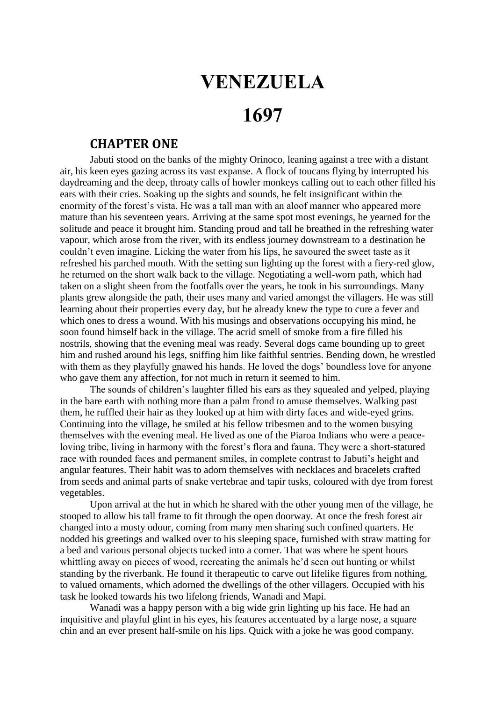## **VENEZUELA**

## **1697**

## **CHAPTER ONE**

Jabuti stood on the banks of the mighty Orinoco, leaning against a tree with a distant air, his keen eyes gazing across its vast expanse. A flock of toucans flying by interrupted his daydreaming and the deep, throaty calls of howler monkeys calling out to each other filled his ears with their cries. Soaking up the sights and sounds, he felt insignificant within the enormity of the forest's vista. He was a tall man with an aloof manner who appeared more mature than his seventeen years. Arriving at the same spot most evenings, he yearned for the solitude and peace it brought him. Standing proud and tall he breathed in the refreshing water vapour, which arose from the river, with its endless journey downstream to a destination he couldn't even imagine. Licking the water from his lips, he savoured the sweet taste as it refreshed his parched mouth. With the setting sun lighting up the forest with a fiery-red glow, he returned on the short walk back to the village. Negotiating a well-worn path, which had taken on a slight sheen from the footfalls over the years, he took in his surroundings. Many plants grew alongside the path, their uses many and varied amongst the villagers. He was still learning about their properties every day, but he already knew the type to cure a fever and which ones to dress a wound. With his musings and observations occupying his mind, he soon found himself back in the village. The acrid smell of smoke from a fire filled his nostrils, showing that the evening meal was ready. Several dogs came bounding up to greet him and rushed around his legs, sniffing him like faithful sentries. Bending down, he wrestled with them as they playfully gnawed his hands. He loved the dogs' boundless love for anyone who gave them any affection, for not much in return it seemed to him.

The sounds of children's laughter filled his ears as they squealed and yelped, playing in the bare earth with nothing more than a palm frond to amuse themselves. Walking past them, he ruffled their hair as they looked up at him with dirty faces and wide-eyed grins. Continuing into the village, he smiled at his fellow tribesmen and to the women busying themselves with the evening meal. He lived as one of the Piaroa Indians who were a peaceloving tribe, living in harmony with the forest's flora and fauna. They were a short-statured race with rounded faces and permanent smiles, in complete contrast to Jabuti's height and angular features. Their habit was to adorn themselves with necklaces and bracelets crafted from seeds and animal parts of snake vertebrae and tapir tusks, coloured with dye from forest vegetables.

Upon arrival at the hut in which he shared with the other young men of the village, he stooped to allow his tall frame to fit through the open doorway. At once the fresh forest air changed into a musty odour, coming from many men sharing such confined quarters. He nodded his greetings and walked over to his sleeping space, furnished with straw matting for a bed and various personal objects tucked into a corner. That was where he spent hours whittling away on pieces of wood, recreating the animals he'd seen out hunting or whilst standing by the riverbank. He found it therapeutic to carve out lifelike figures from nothing, to valued ornaments, which adorned the dwellings of the other villagers. Occupied with his task he looked towards his two lifelong friends, Wanadi and Mapi.

Wanadi was a happy person with a big wide grin lighting up his face. He had an inquisitive and playful glint in his eyes, his features accentuated by a large nose, a square chin and an ever present half-smile on his lips. Quick with a joke he was good company.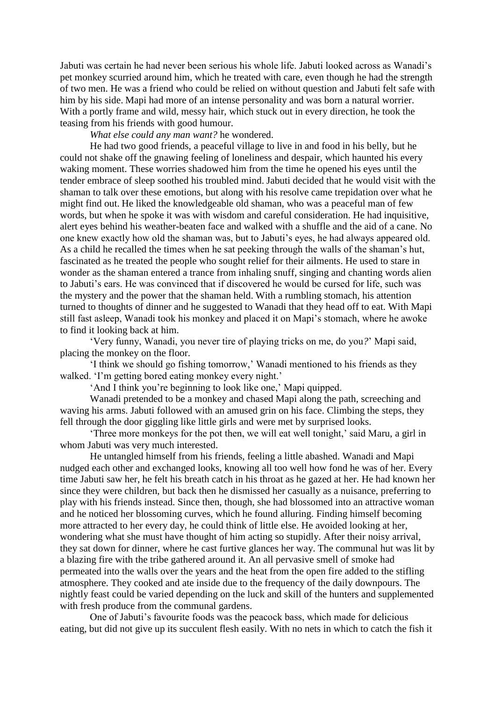Jabuti was certain he had never been serious his whole life. Jabuti looked across as Wanadi's pet monkey scurried around him, which he treated with care, even though he had the strength of two men. He was a friend who could be relied on without question and Jabuti felt safe with him by his side. Mapi had more of an intense personality and was born a natural worrier. With a portly frame and wild, messy hair, which stuck out in every direction, he took the teasing from his friends with good humour.

*What else could any man want?* he wondered.

He had two good friends, a peaceful village to live in and food in his belly, but he could not shake off the gnawing feeling of loneliness and despair, which haunted his every waking moment. These worries shadowed him from the time he opened his eyes until the tender embrace of sleep soothed his troubled mind. Jabuti decided that he would visit with the shaman to talk over these emotions, but along with his resolve came trepidation over what he might find out. He liked the knowledgeable old shaman, who was a peaceful man of few words, but when he spoke it was with wisdom and careful consideration. He had inquisitive, alert eyes behind his weather-beaten face and walked with a shuffle and the aid of a cane. No one knew exactly how old the shaman was, but to Jabuti's eyes, he had always appeared old. As a child he recalled the times when he sat peeking through the walls of the shaman's hut, fascinated as he treated the people who sought relief for their ailments. He used to stare in wonder as the shaman entered a trance from inhaling snuff, singing and chanting words alien to Jabuti's ears. He was convinced that if discovered he would be cursed for life, such was the mystery and the power that the shaman held. With a rumbling stomach, his attention turned to thoughts of dinner and he suggested to Wanadi that they head off to eat. With Mapi still fast asleep, Wanadi took his monkey and placed it on Mapi's stomach, where he awoke to find it looking back at him.

'Very funny, Wanadi, you never tire of playing tricks on me, do you*?*' Mapi said, placing the monkey on the floor.

'I think we should go fishing tomorrow,' Wanadi mentioned to his friends as they walked. 'I'm getting bored eating monkey every night.'

'And I think you're beginning to look like one,' Mapi quipped.

Wanadi pretended to be a monkey and chased Mapi along the path, screeching and waving his arms. Jabuti followed with an amused grin on his face. Climbing the steps, they fell through the door giggling like little girls and were met by surprised looks.

'Three more monkeys for the pot then, we will eat well tonight,' said Maru, a girl in whom Jabuti was very much interested.

He untangled himself from his friends, feeling a little abashed. Wanadi and Mapi nudged each other and exchanged looks, knowing all too well how fond he was of her. Every time Jabuti saw her, he felt his breath catch in his throat as he gazed at her. He had known her since they were children, but back then he dismissed her casually as a nuisance, preferring to play with his friends instead. Since then, though, she had blossomed into an attractive woman and he noticed her blossoming curves, which he found alluring. Finding himself becoming more attracted to her every day, he could think of little else. He avoided looking at her, wondering what she must have thought of him acting so stupidly. After their noisy arrival, they sat down for dinner, where he cast furtive glances her way. The communal hut was lit by a blazing fire with the tribe gathered around it. An all pervasive smell of smoke had permeated into the walls over the years and the heat from the open fire added to the stifling atmosphere. They cooked and ate inside due to the frequency of the daily downpours. The nightly feast could be varied depending on the luck and skill of the hunters and supplemented with fresh produce from the communal gardens.

One of Jabuti's favourite foods was the peacock bass, which made for delicious eating, but did not give up its succulent flesh easily. With no nets in which to catch the fish it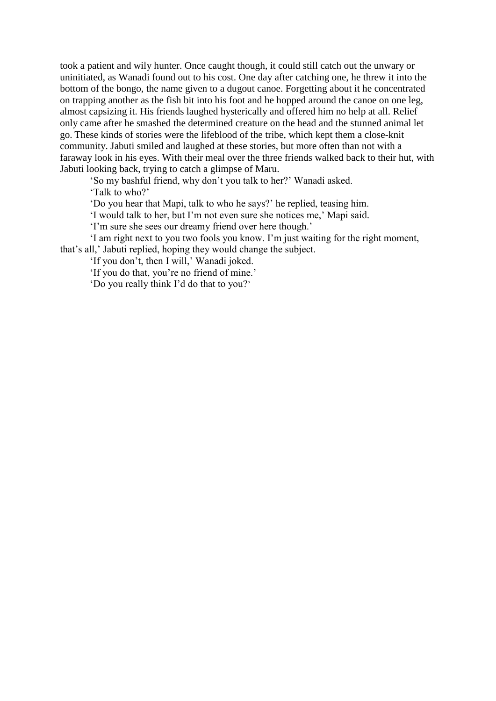took a patient and wily hunter. Once caught though, it could still catch out the unwary or uninitiated, as Wanadi found out to his cost. One day after catching one, he threw it into the bottom of the bongo, the name given to a dugout canoe. Forgetting about it he concentrated on trapping another as the fish bit into his foot and he hopped around the canoe on one leg, almost capsizing it. His friends laughed hysterically and offered him no help at all. Relief only came after he smashed the determined creature on the head and the stunned animal let go. These kinds of stories were the lifeblood of the tribe, which kept them a close-knit community. Jabuti smiled and laughed at these stories, but more often than not with a faraway look in his eyes. With their meal over the three friends walked back to their hut, with Jabuti looking back, trying to catch a glimpse of Maru.

'So my bashful friend, why don't you talk to her?' Wanadi asked.

'Talk to who?'

'Do you hear that Mapi, talk to who he says?' he replied, teasing him.

'I would talk to her, but I'm not even sure she notices me,' Mapi said.

'I'm sure she sees our dreamy friend over here though.'

'I am right next to you two fools you know. I'm just waiting for the right moment, that's all,' Jabuti replied, hoping they would change the subject.

'If you don't, then I will,' Wanadi joked.

'If you do that, you're no friend of mine.'

'Do you really think I'd do that to you?'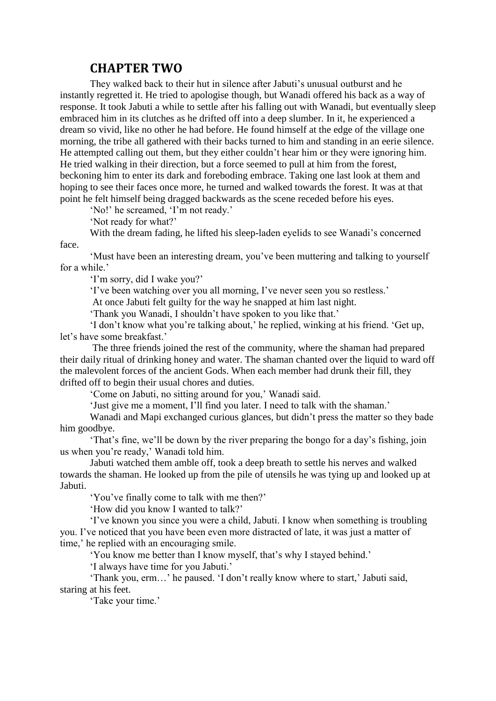## **CHAPTER TWO**

They walked back to their hut in silence after Jabuti's unusual outburst and he instantly regretted it. He tried to apologise though, but Wanadi offered his back as a way of response. It took Jabuti a while to settle after his falling out with Wanadi, but eventually sleep embraced him in its clutches as he drifted off into a deep slumber. In it, he experienced a dream so vivid, like no other he had before. He found himself at the edge of the village one morning, the tribe all gathered with their backs turned to him and standing in an eerie silence. He attempted calling out them, but they either couldn't hear him or they were ignoring him. He tried walking in their direction, but a force seemed to pull at him from the forest, beckoning him to enter its dark and foreboding embrace. Taking one last look at them and hoping to see their faces once more, he turned and walked towards the forest. It was at that point he felt himself being dragged backwards as the scene receded before his eyes.

'No!' he screamed, 'I'm not ready.'

'Not ready for what?'

With the dream fading, he lifted his sleep-laden eyelids to see Wanadi's concerned face.

'Must have been an interesting dream, you've been muttering and talking to yourself for a while.'

'I'm sorry, did I wake you?'

'I've been watching over you all morning, I've never seen you so restless.'

At once Jabuti felt guilty for the way he snapped at him last night.

'Thank you Wanadi, I shouldn't have spoken to you like that.'

'I don't know what you're talking about,' he replied, winking at his friend. 'Get up, let's have some breakfast.'

The three friends joined the rest of the community, where the shaman had prepared their daily ritual of drinking honey and water. The shaman chanted over the liquid to ward off the malevolent forces of the ancient Gods. When each member had drunk their fill, they drifted off to begin their usual chores and duties.

'Come on Jabuti, no sitting around for you,' Wanadi said.

'Just give me a moment, I'll find you later. I need to talk with the shaman.'

Wanadi and Mapi exchanged curious glances, but didn't press the matter so they bade him goodbye.

'That's fine, we'll be down by the river preparing the bongo for a day's fishing, join us when you're ready,' Wanadi told him.

Jabuti watched them amble off, took a deep breath to settle his nerves and walked towards the shaman. He looked up from the pile of utensils he was tying up and looked up at Jabuti.

'You've finally come to talk with me then?'

'How did you know I wanted to talk?'

'I've known you since you were a child, Jabuti. I know when something is troubling you. I've noticed that you have been even more distracted of late, it was just a matter of time,' he replied with an encouraging smile.

'You know me better than I know myself, that's why I stayed behind.'

'I always have time for you Jabuti.'

'Thank you, erm…' he paused. 'I don't really know where to start,' Jabuti said, staring at his feet.

'Take your time.'